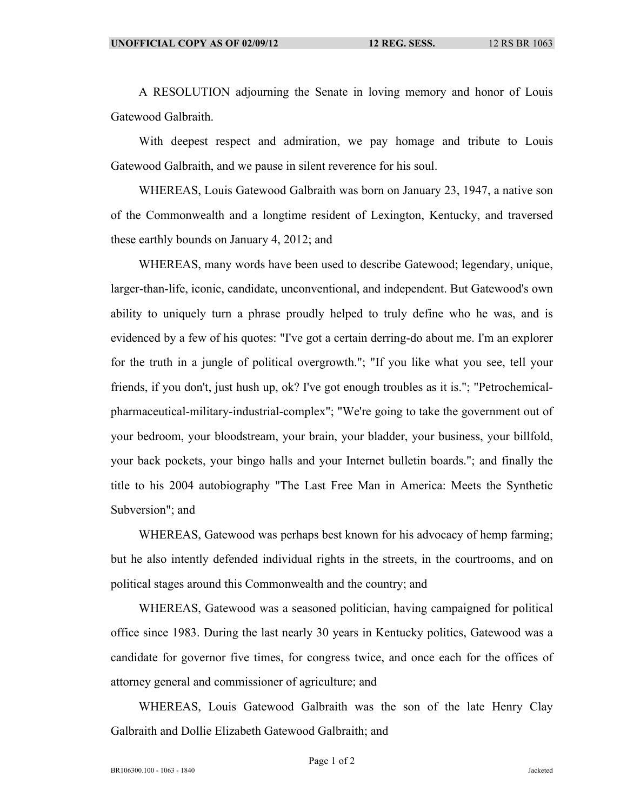A RESOLUTION adjourning the Senate in loving memory and honor of Louis Gatewood Galbraith.

With deepest respect and admiration, we pay homage and tribute to Louis Gatewood Galbraith, and we pause in silent reverence for his soul.

WHEREAS, Louis Gatewood Galbraith was born on January 23, 1947, a native son of the Commonwealth and a longtime resident of Lexington, Kentucky, and traversed these earthly bounds on January 4, 2012; and

WHEREAS, many words have been used to describe Gatewood; legendary, unique, larger-than-life, iconic, candidate, unconventional, and independent. But Gatewood's own ability to uniquely turn a phrase proudly helped to truly define who he was, and is evidenced by a few of his quotes: "I've got a certain derring-do about me. I'm an explorer for the truth in a jungle of political overgrowth."; "If you like what you see, tell your friends, if you don't, just hush up, ok? I've got enough troubles as it is."; "Petrochemicalpharmaceutical-military-industrial-complex"; "We're going to take the government out of your bedroom, your bloodstream, your brain, your bladder, your business, your billfold, your back pockets, your bingo halls and your Internet bulletin boards."; and finally the title to his 2004 autobiography "The Last Free Man in America: Meets the Synthetic Subversion"; and

WHEREAS, Gatewood was perhaps best known for his advocacy of hemp farming; but he also intently defended individual rights in the streets, in the courtrooms, and on political stages around this Commonwealth and the country; and

WHEREAS, Gatewood was a seasoned politician, having campaigned for political office since 1983. During the last nearly 30 years in Kentucky politics, Gatewood was a candidate for governor five times, for congress twice, and once each for the offices of attorney general and commissioner of agriculture; and

WHEREAS, Louis Gatewood Galbraith was the son of the late Henry Clay Galbraith and Dollie Elizabeth Gatewood Galbraith; and